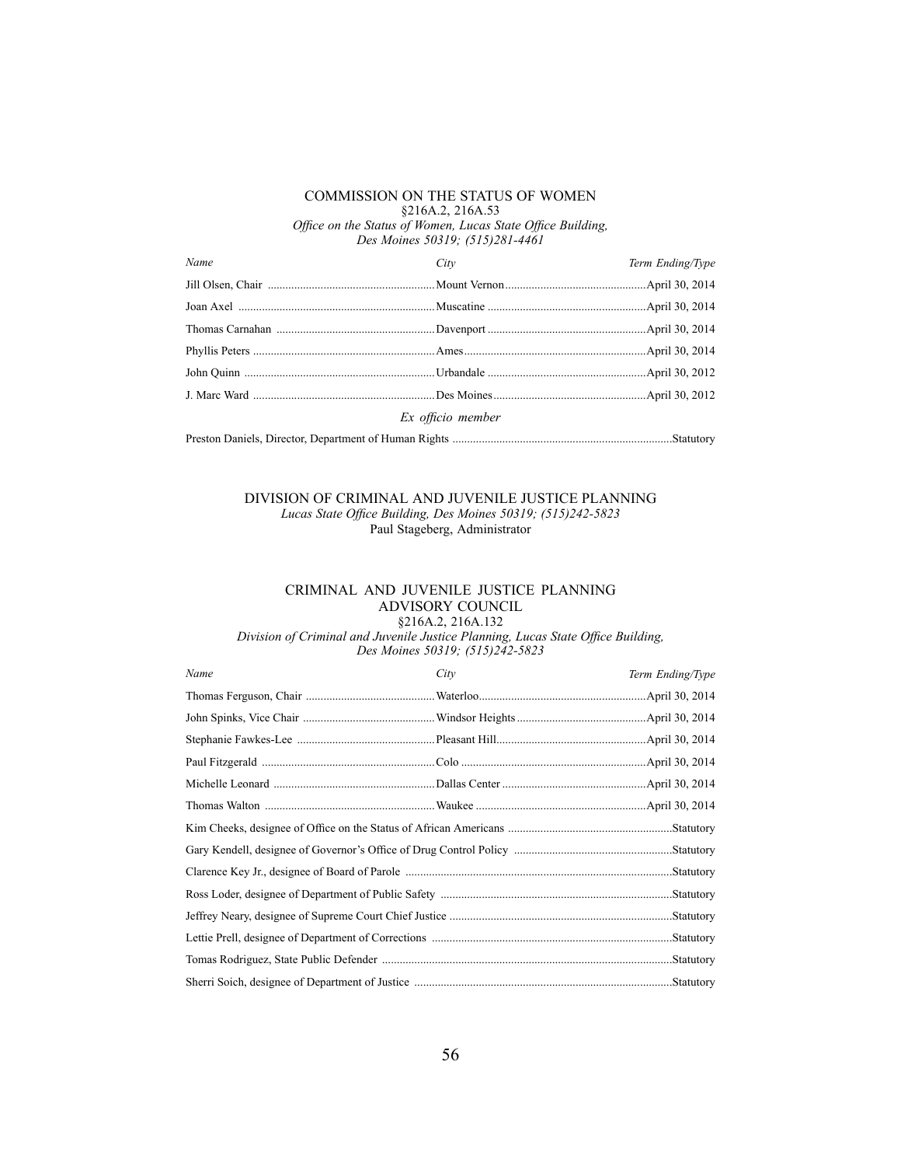## COMMISSION ON THE STATUS OF WOMEN §216A.2, 216A.53 *Office on the Status of Women, Lucas State Office Building,*

*Des Moines 50319; (515)281-4461*

| Name              | City | Term Ending/Type |  |  |
|-------------------|------|------------------|--|--|
|                   |      |                  |  |  |
|                   |      |                  |  |  |
|                   |      |                  |  |  |
|                   |      |                  |  |  |
|                   |      |                  |  |  |
|                   |      |                  |  |  |
| Ex officio member |      |                  |  |  |
|                   |      |                  |  |  |
|                   |      |                  |  |  |

#### DIVISION OF CRIMINAL AND JUVENILE JUSTICE PLANNING *Lucas State Office Building, Des Moines 50319; (515)242-5823* Paul Stageberg, Administrator

### CRIMINAL AND JUVENILE JUSTICE PLANNING ADVISORY COUNCIL §216A.2, 216A.132

Division of Criminal and Juvenile Justice Planning, Lucas State Office Building, *Des Moines 50319; (515)242-5823*

| Name | City       | Term Ending/Type |
|------|------------|------------------|
|      |            | April 30, 2014.  |
|      |            | April 30, 2014.  |
|      |            |                  |
|      |            |                  |
|      |            |                  |
|      |            |                  |
|      |            |                  |
|      |            |                  |
|      |            |                  |
|      |            |                  |
|      | .Statutory |                  |
|      |            | .Statutory       |
|      |            | .Statutory       |
|      |            | Statutory.       |
|      |            |                  |